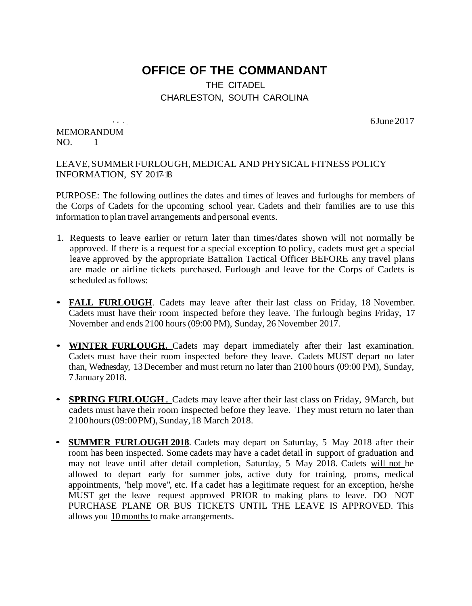## **OFFICE OF THE COMMANDANT**

## THE CITADEL CHARLESTON, SOUTH CAROLINA

6June 2017

MEMORANDUM NO. 1

*A.A.* 

## LEAVE, SUMMER FURLOUGH, MEDICAL AND PHYSICAL FITNESS POLICY INFORMATION, SY 2017-18

PURPOSE: The following outlines the dates and times of leaves and furloughs for members of the Corps of Cadets for the upcoming school year. Cadets and their families are to use this information to plan travel arrangements and personal events.

- 1. Requests to leave earlier or return later than times/dates shown will not normally be approved. If there is a request for a special exception to policy, cadets must get a special leave approved by the appropriate Battalion Tactical Officer BEFORE any travel plans are made or airline tickets purchased. Furlough and leave for the Corps of Cadets is scheduled as follows:
- **FALL FURLOUGH**. Cadets may leave after their last class on Friday, <sup>18</sup> November. Cadets must have their room inspected before they leave. The furlough begins Friday, 17 November and ends 2100 hours (09:00 PM), Sunday, 26 November 2017.
- **WINTER FURLOUGH.** Cadets may depart immediately after their last examination. Cadets must have their room inspected before they leave. Cadets MUST depart no later than, Wednesday, 13December and must return no later than 2100 hours (09:00 PM), Sunday, 7 January 2018.
- **SPRING FURLOUGH**. Cadets may leave after their last class on Friday, 9March, but cadets must have their room inspected before they leave. They must return no later than 2100hours(09:00PM),Sunday,18 March 2018.
- **SUMMER FURLOUGH <sup>2018</sup>**. Cadets may depart on Saturday, <sup>5</sup> May <sup>2018</sup> after their room has been inspected. Some cadets may have a cadet detail in support of graduation and may not leave until after detail completion, Saturday, 5 May 2018. Cadets will not be allowed to depart early for summer jobs, active duty for training, proms, medical appointments, "help move", etc. If a cadet has a legitimate request for an exception, he/she MUST get the leave request approved PRIOR to making plans to leave. DO NOT PURCHASE PLANE OR BUS TICKETS UNTIL THE LEAVE IS APPROVED. This allows you 10months to make arrangements.